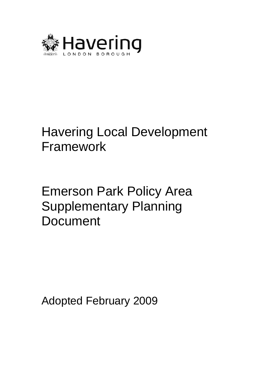

# Havering Local Development Framework

# Emerson Park Policy Area Supplementary Planning Document

Adopted February 2009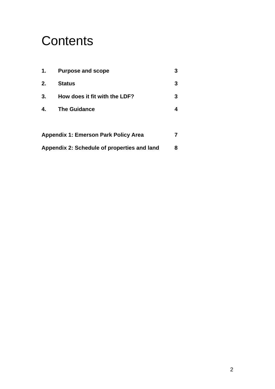# **Contents**

| $\mathbf 1$ .                               | <b>Purpose and scope</b>                    | 3 |
|---------------------------------------------|---------------------------------------------|---|
| 2.                                          | <b>Status</b>                               | 3 |
| 3.                                          | How does it fit with the LDF?               | 3 |
| 4.                                          | <b>The Guidance</b>                         | 4 |
|                                             |                                             |   |
|                                             | <b>Appendix 1: Emerson Park Policy Area</b> |   |
| Appendix 2: Schedule of properties and land |                                             | 8 |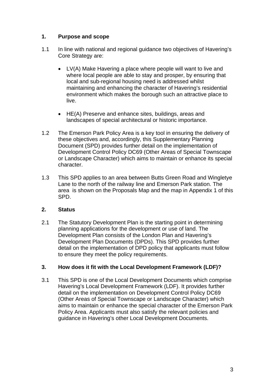## **1. Purpose and scope**

- 1.1 In line with national and regional guidance two objectives of Havering's Core Strategy are:
	- LV(A) Make Havering a place where people will want to live and where local people are able to stay and prosper, by ensuring that local and sub-regional housing need is addressed whilst maintaining and enhancing the character of Havering's residential environment which makes the borough such an attractive place to live.
	- HE(A) Preserve and enhance sites, buildings, areas and landscapes of special architectural or historic importance.
- 1.2 The Emerson Park Policy Area is a key tool in ensuring the delivery of these objectives and, accordingly, this Supplementary Planning Document (SPD) provides further detail on the implementation of Development Control Policy DC69 (Other Areas of Special Townscape or Landscape Character) which aims to maintain or enhance its special character.
- 1.3 This SPD applies to an area between Butts Green Road and Wingletye Lane to the north of the railway line and Emerson Park station. The area is shown on the Proposals Map and the map in Appendix 1 of this SPD.

# **2. Status**

2.1 The Statutory Development Plan is the starting point in determining planning applications for the development or use of land. The Development Plan consists of the London Plan and Havering's Development Plan Documents (DPDs). This SPD provides further detail on the implementation of DPD policy that applicants must follow to ensure they meet the policy requirements.

### **3. How does it fit with the Local Development Framework (LDF)?**

3.1 This SPD is one of the Local Development Documents which comprise Havering's Local Development Framework (LDF). It provides further detail on the implementation on Development Control Policy DC69 (Other Areas of Special Townscape or Landscape Character) which aims to maintain or enhance the special character of the Emerson Park Policy Area. Applicants must also satisfy the relevant policies and guidance in Havering's other Local Development Documents.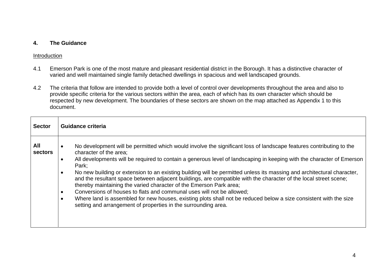#### **4. The Guidance**

#### Introduction

- 4.1 Emerson Park is one of the most mature and pleasant residential district in the Borough. It has a distinctive character of varied and well maintained single family detached dwellings in spacious and well landscaped grounds.
- 4.2 The criteria that follow are intended to provide both a level of control over developments throughout the area and also to provide specific criteria for the various sectors within the area, each of which has its own character which should be respected by new development. The boundaries of these sectors are shown on the map attached as Appendix 1 to this document.

| <b>Sector</b>  | Guidance criteria                                                                                                                                                                                                                                                                                                                                                                                                                                                                                                                                                                                                                                                                                                                                                                                                                                                        |
|----------------|--------------------------------------------------------------------------------------------------------------------------------------------------------------------------------------------------------------------------------------------------------------------------------------------------------------------------------------------------------------------------------------------------------------------------------------------------------------------------------------------------------------------------------------------------------------------------------------------------------------------------------------------------------------------------------------------------------------------------------------------------------------------------------------------------------------------------------------------------------------------------|
| All<br>sectors | No development will be permitted which would involve the significant loss of landscape features contributing to the<br>character of the area;<br>All developments will be required to contain a generous level of landscaping in keeping with the character of Emerson<br>Park:<br>No new building or extension to an existing building will be permitted unless its massing and architectural character,<br>and the resultant space between adjacent buildings, are compatible with the character of the local street scene;<br>thereby maintaining the varied character of the Emerson Park area;<br>Conversions of houses to flats and communal uses will not be allowed;<br>٠<br>Where land is assembled for new houses, existing plots shall not be reduced below a size consistent with the size<br>setting and arrangement of properties in the surrounding area. |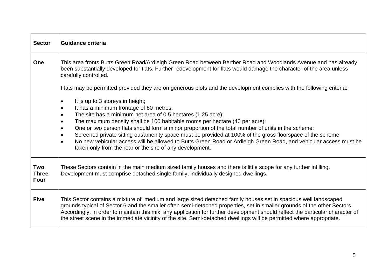| <b>Sector</b>                             | <b>Guidance criteria</b>                                                                                                                                                                                                                                                                                                                                                                                                                                                                                                                                                                                                                                              |  |
|-------------------------------------------|-----------------------------------------------------------------------------------------------------------------------------------------------------------------------------------------------------------------------------------------------------------------------------------------------------------------------------------------------------------------------------------------------------------------------------------------------------------------------------------------------------------------------------------------------------------------------------------------------------------------------------------------------------------------------|--|
| One                                       | This area fronts Butts Green Road/Ardleigh Green Road between Berther Road and Woodlands Avenue and has already<br>been substantially developed for flats. Further redevelopment for flats would damage the character of the area unless<br>carefully controlled.                                                                                                                                                                                                                                                                                                                                                                                                     |  |
|                                           | Flats may be permitted provided they are on generous plots and the development complies with the following criteria:                                                                                                                                                                                                                                                                                                                                                                                                                                                                                                                                                  |  |
|                                           | It is up to 3 storeys in height;<br>It has a minimum frontage of 80 metres;<br>$\bullet$<br>The site has a minimum net area of 0.5 hectares (1.25 acre);<br>The maximum density shall be 100 habitable rooms per hectare (40 per acre);<br>$\bullet$<br>One or two person flats should form a minor proportion of the total number of units in the scheme;<br>Screened private sitting out/amenity space must be provided at 100% of the gross floorspace of the scheme;<br>No new vehicular access will be allowed to Butts Green Road or Ardleigh Green Road, and vehicular access must be<br>$\bullet$<br>taken only from the rear or the sire of any development. |  |
| <b>Two</b><br><b>Three</b><br><b>Four</b> | These Sectors contain in the main medium sized family houses and there is little scope for any further infilling.<br>Development must comprise detached single family, individually designed dwellings.                                                                                                                                                                                                                                                                                                                                                                                                                                                               |  |
| <b>Five</b>                               | This Sector contains a mixture of medium and large sized detached family houses set in spacious well landscaped<br>grounds typical of Sector 6 and the smaller often semi-detached properties, set in smaller grounds of the other Sectors.<br>Accordingly, in order to maintain this mix any application for further development should reflect the particular character of<br>the street scene in the immediate vicinity of the site. Semi-detached dwellings will be permitted where appropriate.                                                                                                                                                                  |  |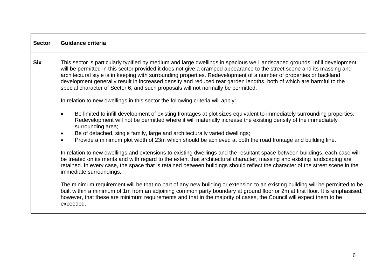| <b>Sector</b> | <b>Guidance criteria</b>                                                                                                                                                                                                                                                                                                                                                                                                                                                                                                                                                                |  |
|---------------|-----------------------------------------------------------------------------------------------------------------------------------------------------------------------------------------------------------------------------------------------------------------------------------------------------------------------------------------------------------------------------------------------------------------------------------------------------------------------------------------------------------------------------------------------------------------------------------------|--|
| <b>Six</b>    | This sector is particularly typified by medium and large dwellings in spacious well landscaped grounds. Infill development<br>will be permitted in this sector provided it does not give a cramped appearance to the street scene and its massing and<br>architectural style is in keeping with surrounding properties. Redevelopment of a number of properties or backland<br>development generally result in increased density and reduced rear garden lengths, both of which are harmful to the<br>special character of Sector 6, and such proposals will not normally be permitted. |  |
|               | In relation to new dwellings in this sector the following criteria will apply:                                                                                                                                                                                                                                                                                                                                                                                                                                                                                                          |  |
|               | Be limited to infill development of existing frontages at plot sizes equivalent to immediately surrounding properties.<br>Redevelopment will not be permitted where it will materially increase the existing density of the immediately<br>surrounding area;                                                                                                                                                                                                                                                                                                                            |  |
|               | Be of detached, single family, large and architecturally varied dwellings;<br>٠                                                                                                                                                                                                                                                                                                                                                                                                                                                                                                         |  |
|               | Provide a minimum plot width of 23m which should be achieved at both the road frontage and building line.                                                                                                                                                                                                                                                                                                                                                                                                                                                                               |  |
|               | In relation to new dwellings and extensions to existing dwellings and the resultant space between buildings, each case will<br>be treated on its merits and with regard to the extent that architectural character, massing and existing landscaping are<br>retained. In every case, the space that is retained between buildings should reflect the character of the street scene in the<br>immediate surroundings.                                                                                                                                                                    |  |
|               | The minimum requirement will be that no part of any new building or extension to an existing building will be permitted to be<br>built within a minimum of 1m from an adjoining common party boundary at ground floor or 2m at first floor. It is emphasised,<br>however, that these are minimum requirements and that in the majority of cases, the Council will expect them to be<br>exceeded.                                                                                                                                                                                        |  |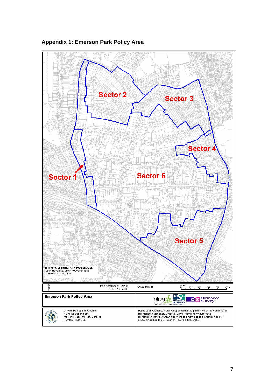

### **Appendix 1: Emerson Park Policy Area**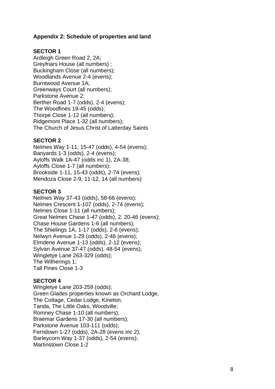### **Appendix 2: Schedule of properties and land**

#### **SECTOR 1**

Ardleigh Green Road 2, 2A; Greyfriars House (all numbers) ; Buckingham Close (all numbers); Woodlands Avenue 2-4 (evens); Burntwood Avenue 1A; Greenways Court (all numbers); Parkstone Avenue 2; Berther Road 1-7 (odds), 2-4 (evens); The Woodfines 19-45 (odds); Thorpe Close 1-12 (all numbers); Ridgemont Place 1-32 (all numbers); The Church of Jesus Christ of Latterday Saints

#### **SECTOR 2**

Nelmes Way 1-11, 15-47 (odds), 4-54 (evens); Banyards 1-3 (odds), 2-4 (evens); Ayloffs Walk 1A-47 (odds inc 1), 2A-38; Ayloffs Close 1-7 (all numbers); Brookside 1-11, 15-43 (odds), 2-74 (evens); Mendoza Close 2-9, 11-12, 14 (all numbers)

## **SECTOR 3**

Nelmes Way 37-43 (odds), 58-66 (evens); Nelmes Crescent 1-107 (odds), 2-74 (evens); Nelmes Close 1-11 (all numbers); Great Nelmes Chase 1-47 (odds), 2, 20-46 (evens); Chase House Gardens 1-6 (all numbers); The Shielings 1A, 1-17 (odds), 2-6 (evens); Nelwyn Avenue 1-29 (odds), 2-48 (evens); Elmdene Avenue 1-13 (odds), 2-12 (evens); Sylvan Avenue 37-47 (odds), 48-54 (evens); Wingletye Lane 263-329 (odds); The Witherings 1; Tall Pines Close 1-3

### **SECTOR 4**

Wingletye Lane 203-259 (odds); Green Glades properties known as Orchard Lodge, The Cottage, Cedar Lodge, Kineton, Tanda, The Little Oaks, Woodville; Romney Chase 1-10 (all numbers); Braemar Gardens 17-30 (all numbers); Parkstone Avenue 103-111 (odds); Ferndown 1-27 (odds), 2A-28 (evens inc 2); Barleycorn Way 1-37 (odds), 2-54 (evens); Martinstown Close 1-2